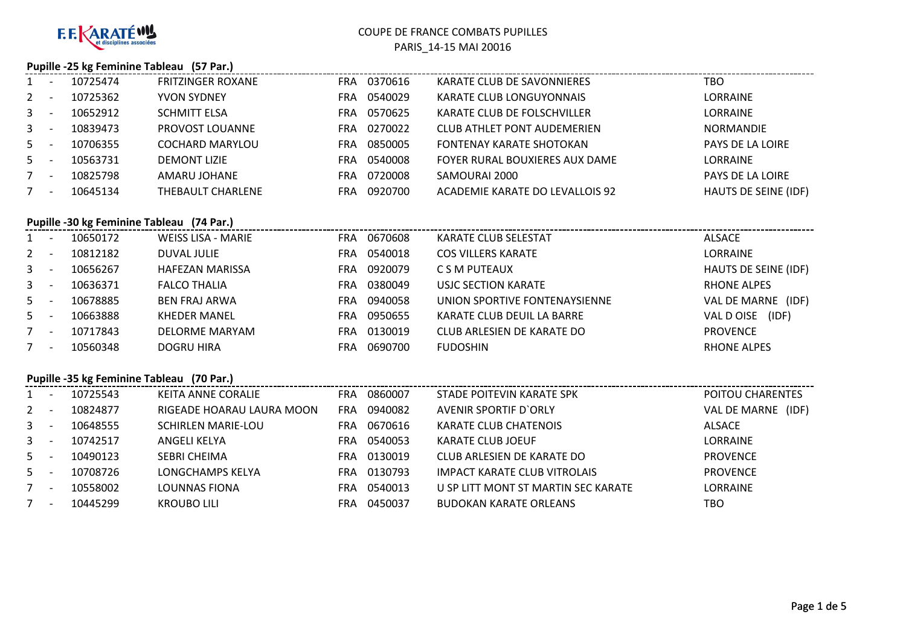

#### **Pupille -25 kg Feminine Tableau (57 Par.)**

| $1 \quad$      | 10725474 | <b>FRITZINGER ROXANE</b> | FRA | 0370616 | KARATE CLUB DE SAVONNIERES         | тво                         |
|----------------|----------|--------------------------|-----|---------|------------------------------------|-----------------------------|
| $2^{\circ}$    | 10725362 | <b>YVON SYDNEY</b>       | FRA | 0540029 | KARATE CLUB LONGUYONNAIS           | LORRAINE                    |
| 3 <sup>7</sup> | 10652912 | <b>SCHMITT ELSA</b>      | FRA | 0570625 | KARATE CLUB DE FOLSCHVILLER        | <b>LORRAINE</b>             |
| $3^{\circ}$    | 10839473 | PROVOST LOUANNE          | FRA | 0270022 | <b>CLUB ATHLET PONT AUDEMERIEN</b> | <b>NORMANDIE</b>            |
| $5 -$          | 10706355 | <b>COCHARD MARYLOU</b>   | FRA | 0850005 | <b>FONTENAY KARATE SHOTOKAN</b>    | <b>PAYS DE LA LOIRE</b>     |
| $5 -$          | 10563731 | <b>DEMONT LIZIE</b>      | FRA | 0540008 | FOYER RURAL BOUXIERES AUX DAME     | <b>LORRAINE</b>             |
| $7^{\circ}$    | 10825798 | AMARU JOHANE             | FRA | 0720008 | SAMOURAI 2000                      | <b>PAYS DE LA LOIRE</b>     |
|                | 10645134 | <b>THEBAULT CHARLENE</b> | FRA | 0920700 | ACADEMIE KARATE DO LEVALLOIS 92    | <b>HAUTS DE SEINE (IDF)</b> |

## **Pupille -30 kg Feminine Tableau (74 Par.)**

| 1              | $\overline{\phantom{a}}$ | 10650172 | <b>WEISS LISA - MARIE</b> | FRA | 0670608 | <b>KARATE CLUB SELESTAT</b>   | ALSACE               |
|----------------|--------------------------|----------|---------------------------|-----|---------|-------------------------------|----------------------|
| $2^{\circ}$    | $\overline{\phantom{a}}$ | 10812182 | DUVAL JULIE               | FRA | 0540018 | <b>COS VILLERS KARATE</b>     | LORRAINE             |
| 3 <sup>7</sup> |                          | 10656267 | <b>HAFEZAN MARISSA</b>    | FRA | 0920079 | C S M PUTEAUX                 | HAUTS DE SEINE (IDF) |
| 3              | $\overline{\phantom{a}}$ | 10636371 | <b>FALCO THALIA</b>       | FRA | 0380049 | USJC SECTION KARATE           | RHONE ALPES          |
| $5 -$          |                          | 10678885 | <b>BEN FRAJ ARWA</b>      | FRA | 0940058 | UNION SPORTIVE FONTENAYSIENNE | VAL DE MARNE (IDF)   |
| $5 -$          |                          | 10663888 | <b>KHEDER MANEL</b>       | FRA | 0950655 | KARATE CLUB DEUIL LA BARRE    | VAL D OISE<br>(IDF)  |
| $7^{\circ}$    | $\overline{\phantom{a}}$ | 10717843 | <b>DELORME MARYAM</b>     | FRA | 0130019 | CLUB ARLESIEN DE KARATE DO    | <b>PROVENCE</b>      |
| 7              | $\overline{\phantom{0}}$ | 10560348 | <b>DOGRU HIRA</b>         | FRA | 0690700 | <b>FUDOSHIN</b>               | <b>RHONE ALPES</b>   |

### **Pupille -35 kg Feminine Tableau (70 Par.)**

| $1 \quad$   | 10725543 | KEITA ANNE CORALIE        | <b>FRA</b> | 0860007 | STADE POITEVIN KARATE SPK           | POITOU CHARENTES   |
|-------------|----------|---------------------------|------------|---------|-------------------------------------|--------------------|
| $2 -$       | 10824877 | RIGEADE HOARAU LAURA MOON | <b>FRA</b> | 0940082 | <b>AVENIR SPORTIF D'ORLY</b>        | VAL DE MARNE (IDF) |
| $3 -$       | 10648555 | <b>SCHIRLEN MARIE-LOU</b> | FRA        | 0670616 | KARATE CLUB CHATENOIS               | ALSACE             |
| $3^{\circ}$ | 10742517 | ANGELI KELYA              | FRA        | 0540053 | KARATE CLUB JOEUF                   | <b>LORRAINE</b>    |
| $5 -$       | 10490123 | SEBRI CHEIMA              | FRA        | 0130019 | CLUB ARLESIEN DE KARATE DO          | <b>PROVENCE</b>    |
| $5 -$       | 10708726 | LONGCHAMPS KELYA          | FRA        | 0130793 | <b>IMPACT KARATE CLUB VITROLAIS</b> | <b>PROVENCE</b>    |
| $7^{\circ}$ | 10558002 | LOUNNAS FIONA             | FRA        | 0540013 | U SP LITT MONT ST MARTIN SEC KARATE | <b>LORRAINE</b>    |
|             | 10445299 | KROUBO LILI               | FRA        | 0450037 | <b>BUDOKAN KARATE ORLEANS</b>       | тво                |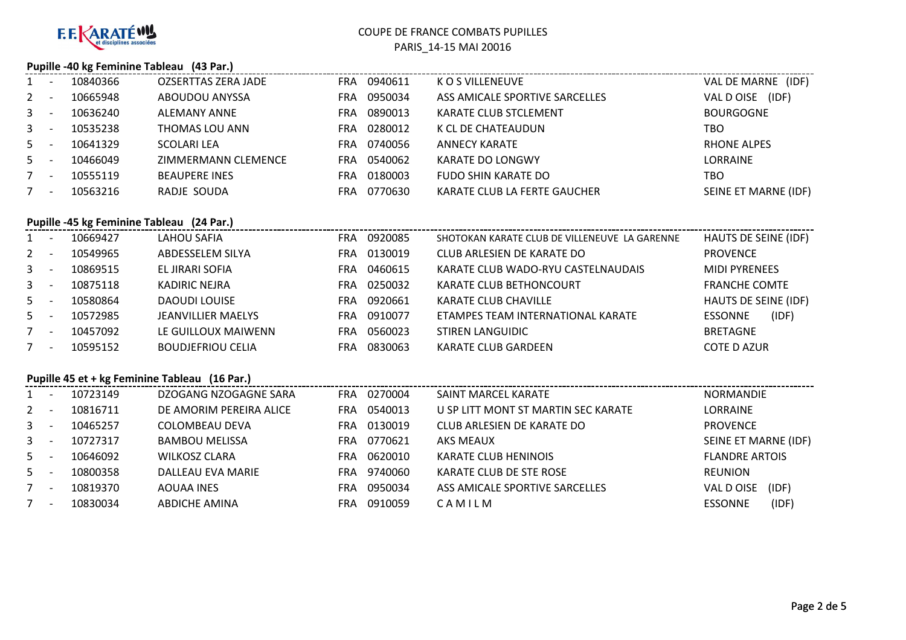

### **Pupille -40 kg Feminine Tableau (43 Par.)**

| 1            |                          | 10840366 | <b>OZSERTTAS ZERA JADE</b> | <b>FRA</b> | 0940611 | K O S VILLENEUVE               | VAL DE MARNE (IDF)   |
|--------------|--------------------------|----------|----------------------------|------------|---------|--------------------------------|----------------------|
| $2^{\circ}$  | <b>11</b>                | 10665948 | ABOUDOU ANYSSA             | FRA        | 0950034 | ASS AMICALE SPORTIVE SARCELLES | VAL D OISE<br>(IDF)  |
| $\mathbf{3}$ |                          | 10636240 | <b>ALEMANY ANNE</b>        | <b>FRA</b> | 0890013 | KARATE CLUB STCLEMENT          | <b>BOURGOGNE</b>     |
| $3^{\circ}$  | <u>. на та</u>           | 10535238 | THOMAS LOU ANN             | <b>FRA</b> | 0280012 | K CL DE CHATEAUDUN             | тво                  |
| $5 -$        |                          | 10641329 | SCOLARI LEA                | <b>FRA</b> | 0740056 | ANNECY KARATE                  | <b>RHONE ALPES</b>   |
| $5 -$        |                          | 10466049 | ZIMMERMANN CLEMENCE        | <b>FRA</b> | 0540062 | <b>KARATE DO LONGWY</b>        | <b>LORRAINE</b>      |
| 7            | $\overline{\phantom{a}}$ | 10555119 | <b>BEAUPERE INES</b>       | <b>FRA</b> | 0180003 | <b>FUDO SHIN KARATE DO</b>     | TBO                  |
|              | <b>.</b>                 | 10563216 | RADJE SOUDA                | <b>FRA</b> | 0770630 | KARATE CLUB LA FERTE GAUCHER   | SEINE ET MARNE (IDF) |

# **Pupille -45 kg Feminine Tableau (24 Par.)**

| 1       |     | 10669427 | LAHOU SAFIA               | FRA        | 0920085 | SHOTOKAN KARATE CLUB DE VILLENEUVE LA GARENNE | HAUTS DE SEINE (IDF)    |
|---------|-----|----------|---------------------------|------------|---------|-----------------------------------------------|-------------------------|
| $2 -$   |     | 10549965 | ABDESSELEM SILYA          | FRA        | 0130019 | CLUB ARLESIEN DE KARATE DO                    | <b>PROVENCE</b>         |
| $3 - 5$ |     | 10869515 | EL JIRARI SOFIA           | FRA        | 0460615 | KARATE CLUB WADO-RYU CASTELNAUDAIS            | <b>MIDI PYRENEES</b>    |
| $3 -$   |     | 10875118 | KADIRIC NEJRA             | FRA        | 0250032 | KARATE CLUB BETHONCOURT                       | <b>FRANCHE COMTE</b>    |
| $5 -$   |     | 10580864 | <b>DAOUDI LOUISE</b>      | FRA        | 0920661 | KARATE CLUB CHAVILLE                          | HAUTS DE SEINE (IDF)    |
| $5 -$   |     | 10572985 | <b>JEANVILLIER MAELYS</b> | <b>FRA</b> | 0910077 | ETAMPES TEAM INTERNATIONAL KARATE             | (IDF)<br><b>ESSONNE</b> |
| $7 -$   |     | 10457092 | LE GUILLOUX MAIWENN       | FRA        | 0560023 | <b>STIREN LANGUIDIC</b>                       | <b>BRETAGNE</b>         |
| 7       | - - | 10595152 | <b>BOUDJEFRIOU CELIA</b>  | FRA        | 0830063 | <b>KARATE CLUB GARDEEN</b>                    | <b>COTE D AZUR</b>      |

## **Pupille 45 et + kg Feminine Tableau (16 Par.)**

|                | ruping $\rightarrow$ ct $\rightarrow$ $\kappa$ remining rabical (10 rai) |          |                         |            |         |                                     |                         |  |  |  |  |
|----------------|--------------------------------------------------------------------------|----------|-------------------------|------------|---------|-------------------------------------|-------------------------|--|--|--|--|
| 1              |                                                                          | 10723149 | DZOGANG NZOGAGNE SARA   | <b>FRA</b> | 0270004 | SAINT MARCEL KARATE                 | <b>NORMANDIE</b>        |  |  |  |  |
| 2              |                                                                          | 10816711 | DE AMORIM PEREIRA ALICE | FRA        | 0540013 | U SP LITT MONT ST MARTIN SEC KARATE | LORRAINE                |  |  |  |  |
| $\mathbf{3}$   |                                                                          | 10465257 | COLOMBEAU DEVA          | FRA.       | 0130019 | CLUB ARLESIEN DE KARATE DO          | <b>PROVENCE</b>         |  |  |  |  |
| $\mathbf{3}$   |                                                                          | 10727317 | <b>BAMBOU MELISSA</b>   | FRA        | 0770621 | AKS MEAUX                           | SEINE ET MARNE (IDF)    |  |  |  |  |
| 5 <sup>7</sup> |                                                                          | 10646092 | <b>WILKOSZ CLARA</b>    | FRA        | 0620010 | KARATE CLUB HENINOIS                | <b>FLANDRE ARTOIS</b>   |  |  |  |  |
| 5              |                                                                          | 10800358 | DALLEAU EVA MARIE       | FRA        | 9740060 | KARATE CLUB DE STE ROSE             | <b>REUNION</b>          |  |  |  |  |
|                |                                                                          | 10819370 | AOUAA INES              | FRA        | 0950034 | ASS AMICALE SPORTIVE SARCELLES      | VAL D OISE<br>(IDF)     |  |  |  |  |
|                | $\overline{\phantom{a}}$                                                 | 10830034 | ABDICHE AMINA           | FRA        | 0910059 | CAMILM                              | (IDF)<br><b>ESSONNE</b> |  |  |  |  |
|                |                                                                          |          |                         |            |         |                                     |                         |  |  |  |  |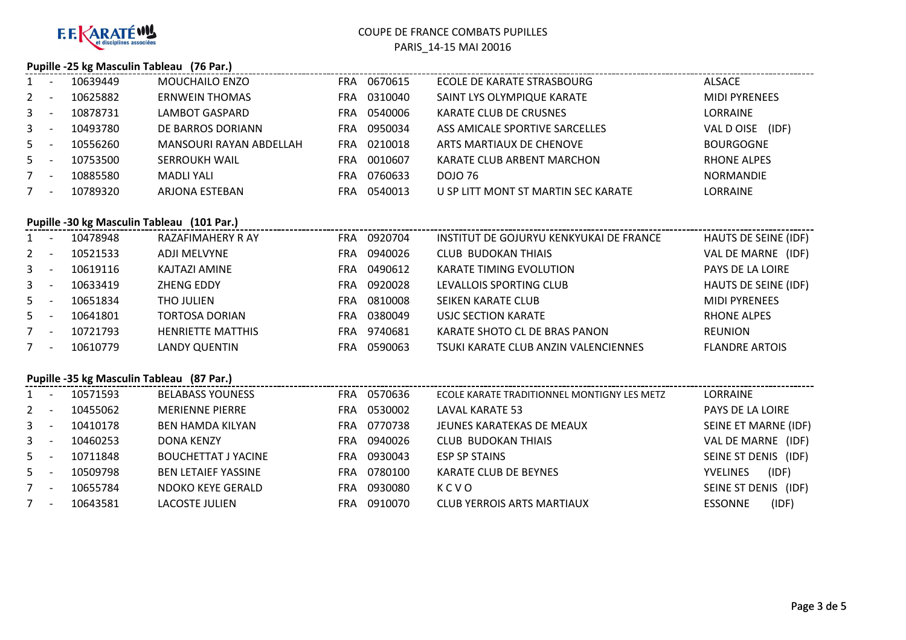

### **Pupille -25 kg Masculin Tableau (76 Par.)**

| $1 \quad$    | 10639449 | <b>MOUCHAILO ENZO</b>   | FRA.       | 0670615 | ECOLE DE KARATE STRASBOURG          | ALSACE               |
|--------------|----------|-------------------------|------------|---------|-------------------------------------|----------------------|
| $2^{\circ}$  | 10625882 | <b>ERNWEIN THOMAS</b>   | FRA        | 0310040 | SAINT LYS OLYMPIQUE KARATE          | <b>MIDI PYRENEES</b> |
| $\mathbf{3}$ | 10878731 | LAMBOT GASPARD          | FRA.       | 0540006 | <b>KARATE CLUB DE CRUSNES</b>       | LORRAINE             |
| $\mathbf{3}$ | 10493780 | DE BARROS DORIANN       | FRA        | 0950034 | ASS AMICALE SPORTIVE SARCELLES      | VAL D OISE<br>(IDF)  |
| $5 -$        | 10556260 | MANSOURI RAYAN ABDELLAH | FRA        | 0210018 | ARTS MARTIAUX DE CHENOVE            | <b>BOURGOGNE</b>     |
| $5 -$        | 10753500 | <b>SERROUKH WAIL</b>    | FRA.       | 0010607 | KARATE CLUB ARBENT MARCHON          | <b>RHONE ALPES</b>   |
|              | 10885580 | MADLI YALI              | <b>FRA</b> | 0760633 | DOJO 76                             | <b>NORMANDIE</b>     |
|              | 10789320 | ARJONA ESTEBAN          | FRA        | 0540013 | U SP LITT MONT ST MARTIN SEC KARATE | LORRAINE             |
|              |          |                         |            |         |                                     |                      |

### **Pupille -30 kg Masculin Tableau (101 Par.)**

| $1 -$       |                          | 10478948 | RAZAFIMAHERY R AY        | FRA.       | 0920704 | INSTITUT DE GOJURYU KENKYUKAI DE FRANCE | HAUTS DE SEINE (IDF)  |
|-------------|--------------------------|----------|--------------------------|------------|---------|-----------------------------------------|-----------------------|
| $2 -$       |                          | 10521533 | <b>ADJI MELVYNE</b>      | <b>FRA</b> | 0940026 | <b>CLUB BUDOKAN THIAIS</b>              | VAL DE MARNE (IDF)    |
| $3^{\circ}$ | - -                      | 10619116 | KAJTAZI AMINE            | <b>FRA</b> | 0490612 | <b>KARATE TIMING EVOLUTION</b>          | PAYS DE LA LOIRE      |
| $3 -$       |                          | 10633419 | ZHENG EDDY               | <b>FRA</b> | 0920028 | LEVALLOIS SPORTING CLUB                 | HAUTS DE SEINE (IDF)  |
| $5 -$       |                          | 10651834 | <b>THO JULIEN</b>        | <b>FRA</b> | 0810008 | SEIKEN KARATE CLUB                      | <b>MIDI PYRENEES</b>  |
| $5 -$       |                          | 10641801 | <b>TORTOSA DORIAN</b>    | <b>FRA</b> | 0380049 | USJC SECTION KARATE                     | RHONE ALPES           |
|             | $\overline{\phantom{a}}$ | 10721793 | <b>HENRIETTE MATTHIS</b> | <b>FRA</b> | 9740681 | KARATE SHOTO CL DE BRAS PANON           | <b>REUNION</b>        |
| 7           | $\overline{\phantom{a}}$ | 10610779 | <b>LANDY QUENTIN</b>     | <b>FRA</b> | 0590063 | TSUKI KARATE CLUB ANZIN VALENCIENNES    | <b>FLANDRE ARTOIS</b> |

## **Pupille -35 kg Masculin Tableau (87 Par.)**

|       | Pupine -35 kg iviasculin Tableau (87 Par.) |          |                            |            |         |                                             |                          |  |  |  |  |
|-------|--------------------------------------------|----------|----------------------------|------------|---------|---------------------------------------------|--------------------------|--|--|--|--|
| 1     |                                            | 10571593 | <b>BELABASS YOUNESS</b>    | FRA        | 0570636 | ECOLE KARATE TRADITIONNEL MONTIGNY LES METZ | LORRAINE                 |  |  |  |  |
| $2 -$ |                                            | 10455062 | <b>MERIENNE PIERRE</b>     | FRA.       | 0530002 | LAVAL KARATE 53                             | PAYS DE LA LOIRE         |  |  |  |  |
| $3 -$ |                                            | 10410178 | <b>BEN HAMDA KILYAN</b>    | <b>FRA</b> | 0770738 | JEUNES KARATEKAS DE MEAUX                   | SEINE ET MARNE (IDF)     |  |  |  |  |
| $3 -$ |                                            | 10460253 | <b>DONA KENZY</b>          | FRA.       | 0940026 | <b>CLUB BUDOKAN THIAIS</b>                  | VAL DE MARNE (IDF)       |  |  |  |  |
| $5 -$ |                                            | 10711848 | <b>BOUCHETTAT J YACINE</b> | <b>FRA</b> | 0930043 | <b>ESP SP STAINS</b>                        | SEINE ST DENIS (IDF)     |  |  |  |  |
| $5 -$ |                                            | 10509798 | <b>BEN LETAIEF YASSINE</b> | <b>FRA</b> | 0780100 | KARATE CLUB DE BEYNES                       | (IDF)<br><b>YVELINES</b> |  |  |  |  |
| 7     | $\overline{\phantom{a}}$                   | 10655784 | NDOKO KEYE GERALD          | <b>FRA</b> | 0930080 | KCVO                                        | SEINE ST DENIS (IDF)     |  |  |  |  |
| 7     | $\overline{\phantom{a}}$                   | 10643581 | LACOSTE JULIEN             | <b>FRA</b> | 0910070 | <b>CLUB YERROIS ARTS MARTIAUX</b>           | (IDF)<br><b>ESSONNE</b>  |  |  |  |  |
|       |                                            |          |                            |            |         |                                             |                          |  |  |  |  |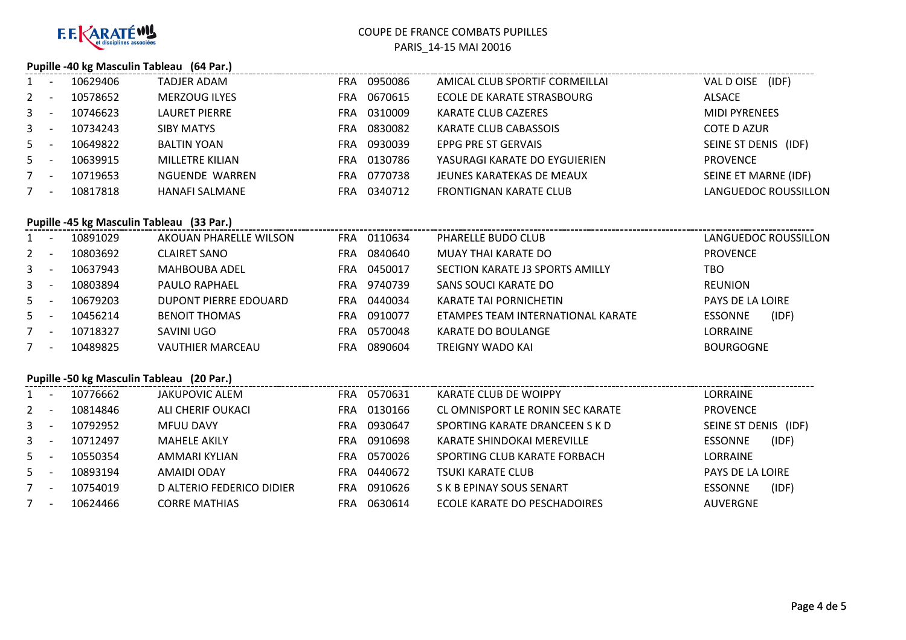

#### **Pupille -40 kg Masculin Tableau (64 Par.)**

|                | 10629406 | <b>TADJER ADAM</b>   | <b>FRA</b> | 0950086 | AMICAL CLUB SPORTIF CORMEILLAI | (IDF)<br>VAL D OISE     |
|----------------|----------|----------------------|------------|---------|--------------------------------|-------------------------|
| $2^{\circ}$    | 10578652 | <b>MERZOUG ILYES</b> | FRA        | 0670615 | ECOLE DE KARATE STRASBOURG     | <b>ALSACE</b>           |
| 3 <sup>1</sup> | 10746623 | <b>LAURET PIERRE</b> | FRA        | 0310009 | <b>KARATE CLUB CAZERES</b>     | <b>MIDI PYRENEES</b>    |
| $\mathbf{3}$   | 10734243 | <b>SIBY MATYS</b>    | FRA        | 0830082 | KARATE CLUB CABASSOIS          | <b>COTE D AZUR</b>      |
| $5 -$          | 10649822 | <b>BALTIN YOAN</b>   | FRA        | 0930039 | EPPG PRE ST GERVAIS            | SEINE ST DENIS<br>(IDF) |
| $5 -$          | 10639915 | MILLETRE KILIAN      | FRA        | 0130786 | YASURAGI KARATE DO EYGUIERIEN  | <b>PROVENCE</b>         |
| $7^{\circ}$    | 10719653 | NGUENDE WARREN       | FRA        | 0770738 | JEUNES KARATEKAS DE MEAUX      | SEINE ET MARNE (IDF)    |
|                | 10817818 | HANAFI SALMANE       | FRA        | 0340712 | <b>FRONTIGNAN KARATE CLUB</b>  | LANGUEDOC ROUSSILLON    |
|                |          |                      |            |         |                                |                         |

#### **Pupille -45 kg Masculin Tableau (33 Par.)**

|              | <b>11</b>                | 10891029 | AKOUAN PHARELLE WILSON  | <b>FRA</b> | 0110634 | PHARELLE BUDO CLUB                | LANGUEDOC ROUSSILLON    |
|--------------|--------------------------|----------|-------------------------|------------|---------|-----------------------------------|-------------------------|
| $2^{\circ}$  | <b>.</b>                 | 10803692 | <b>CLAIRET SANO</b>     | FRA        | 0840640 | MUAY THAI KARATE DO               | <b>PROVENCE</b>         |
| 3            |                          | 10637943 | <b>MAHBOUBA ADEL</b>    | <b>FRA</b> | 0450017 | SECTION KARATE J3 SPORTS AMILLY   | TBO                     |
| $\mathbf{3}$ |                          | 10803894 | <b>PAULO RAPHAEL</b>    | FRA        | 9740739 | SANS SOUCI KARATE DO              | REUNION                 |
| $5 -$        |                          | 10679203 | DUPONT PIERRE EDOUARD   | <b>FRA</b> | 0440034 | KARATE TAI PORNICHETIN            | <b>PAYS DE LA LOIRE</b> |
| 5            |                          | 10456214 | <b>BENOIT THOMAS</b>    | FRA        | 0910077 | ETAMPES TEAM INTERNATIONAL KARATE | (IDF)<br><b>ESSONNE</b> |
|              | $\overline{\phantom{a}}$ | 10718327 | SAVINI UGO              | FRA        | 0570048 | KARATE DO BOULANGE                | <b>LORRAINE</b>         |
|              | $\overline{\phantom{a}}$ | 10489825 | <b>VAUTHIER MARCEAU</b> | FRA        | 0890604 | TREIGNY WADO KAI                  | <b>BOURGOGNE</b>        |
|              |                          |          |                         |            |         |                                   |                         |

## **Pupille -50 kg Masculin Tableau (20 Par.)**

|                | Pupine -50 kg iviascum Tableau (20 Par.) |          |                           |            |         |                                  |                         |  |  |  |  |
|----------------|------------------------------------------|----------|---------------------------|------------|---------|----------------------------------|-------------------------|--|--|--|--|
|                |                                          | 10776662 | JAKUPOVIC ALEM            | <b>FRA</b> | 0570631 | KARATE CLUB DE WOIPPY            | LORRAINE                |  |  |  |  |
| $2^{\circ}$    |                                          | 10814846 | ALI CHERIF OUKACI         | <b>FRA</b> | 0130166 | CL OMNISPORT LE RONIN SEC KARATE | <b>PROVENCE</b>         |  |  |  |  |
| $\mathbf{3}$   |                                          | 10792952 | <b>MFUU DAVY</b>          | <b>FRA</b> | 0930647 | SPORTING KARATE DRANCEEN S K D   | SEINE ST DENIS<br>(IDF) |  |  |  |  |
| $\mathbf{3}$   |                                          | 10712497 | <b>MAHELE AKILY</b>       | <b>FRA</b> | 0910698 | KARATE SHINDOKAI MEREVILLE       | (IDF)<br><b>ESSONNE</b> |  |  |  |  |
| 5 <sup>1</sup> |                                          | 10550354 | AMMARI KYLIAN             | <b>FRA</b> | 0570026 | SPORTING CLUB KARATE FORBACH     | LORRAINE                |  |  |  |  |
| 5              |                                          | 10893194 | AMAIDI ODAY               | <b>FRA</b> | 0440672 | <b>TSUKI KARATE CLUB</b>         | PAYS DE LA LOIRE        |  |  |  |  |
|                |                                          | 10754019 | D ALTERIO FEDERICO DIDIER | <b>FRA</b> | 0910626 | S K B EPINAY SOUS SENART         | <b>ESSONNE</b><br>(IDF) |  |  |  |  |
|                |                                          | 10624466 | <b>CORRE MATHIAS</b>      | FRA        | 0630614 | ECOLE KARATE DO PESCHADOIRES     | <b>AUVERGNE</b>         |  |  |  |  |
|                |                                          |          |                           |            |         |                                  |                         |  |  |  |  |